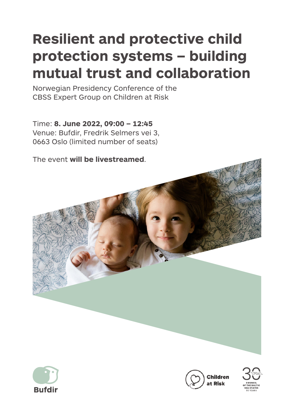## **Resilient and protective child protection systems – building mutual trust and collaboration**

Norwegian Presidency Conference of the CBSS Expert Group on Children at Risk

Time: **8. June 2022, 09:00 – 12:45** Venue: Bufdir, Fredrik Selmers vei 3, 0663 Oslo (limited number of seats)

The event **will be livestreamed**.